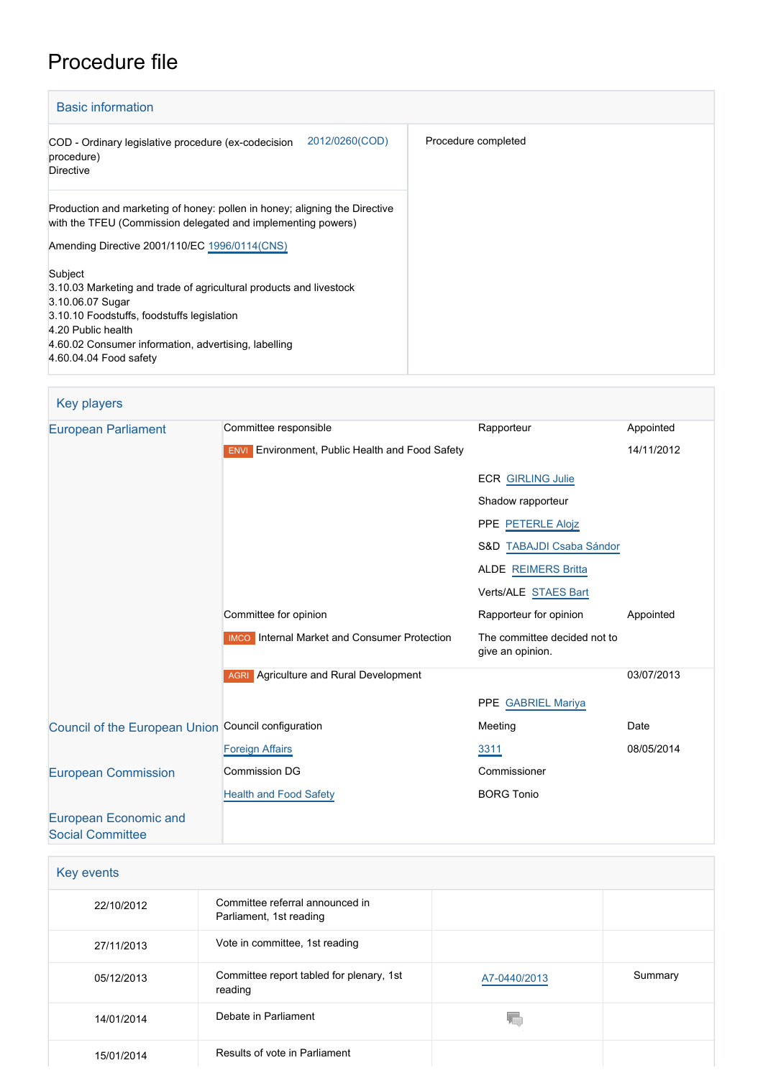# Procedure file

and the control of the control of the con-

| <b>Basic information</b>                                                                                                                                                                                                                                |                     |  |
|---------------------------------------------------------------------------------------------------------------------------------------------------------------------------------------------------------------------------------------------------------|---------------------|--|
| 2012/0260(COD)<br>COD - Ordinary legislative procedure (ex-codecision<br>procedure)<br><b>Directive</b>                                                                                                                                                 | Procedure completed |  |
| Production and marketing of honey: pollen in honey; aligning the Directive<br>with the TFEU (Commission delegated and implementing powers)<br>Amending Directive 2001/110/EC 1996/0114(CNS)                                                             |                     |  |
| Subject<br>3.10.03 Marketing and trade of agricultural products and livestock<br>3.10.06.07 Sugar<br>3.10.10 Foodstuffs, foodstuffs legislation<br>4.20 Public health<br>4.60.02 Consumer information, advertising, labelling<br>4.60.04.04 Food safety |                     |  |

| <b>Key players</b>                                  |                                                        |                                                  |            |
|-----------------------------------------------------|--------------------------------------------------------|--------------------------------------------------|------------|
| <b>European Parliament</b>                          | Committee responsible                                  | Rapporteur                                       | Appointed  |
|                                                     | <b>ENVI</b> Environment, Public Health and Food Safety |                                                  | 14/11/2012 |
|                                                     |                                                        | <b>ECR GIRLING Julie</b>                         |            |
|                                                     |                                                        | Shadow rapporteur                                |            |
|                                                     |                                                        | PPE PETERLE Alojz                                |            |
|                                                     |                                                        | S&D TABAJDI Csaba Sándor                         |            |
|                                                     |                                                        | <b>ALDE REIMERS Britta</b>                       |            |
|                                                     |                                                        | Verts/ALE STAES Bart                             |            |
|                                                     | Committee for opinion                                  | Rapporteur for opinion                           | Appointed  |
|                                                     | <b>IMCO</b> Internal Market and Consumer Protection    | The committee decided not to<br>give an opinion. |            |
|                                                     | <b>AGRI</b> Agriculture and Rural Development          |                                                  | 03/07/2013 |
|                                                     |                                                        | PPE GABRIEL Mariya                               |            |
| Council of the European Union Council configuration |                                                        | Meeting                                          | Date       |
|                                                     | <b>Foreign Affairs</b>                                 | 3311                                             | 08/05/2014 |
| <b>European Commission</b>                          | <b>Commission DG</b>                                   | Commissioner                                     |            |
|                                                     | <b>Health and Food Safety</b>                          | <b>BORG Tonio</b>                                |            |
| <b>European Economic and</b>                        |                                                        |                                                  |            |
| <b>Social Committee</b>                             |                                                        |                                                  |            |

| Key events |                                                            |              |         |
|------------|------------------------------------------------------------|--------------|---------|
| 22/10/2012 | Committee referral announced in<br>Parliament, 1st reading |              |         |
| 27/11/2013 | Vote in committee, 1st reading                             |              |         |
| 05/12/2013 | Committee report tabled for plenary, 1st<br>reading        | A7-0440/2013 | Summary |
| 14/01/2014 | Debate in Parliament                                       |              |         |
| 15/01/2014 | Results of vote in Parliament                              |              |         |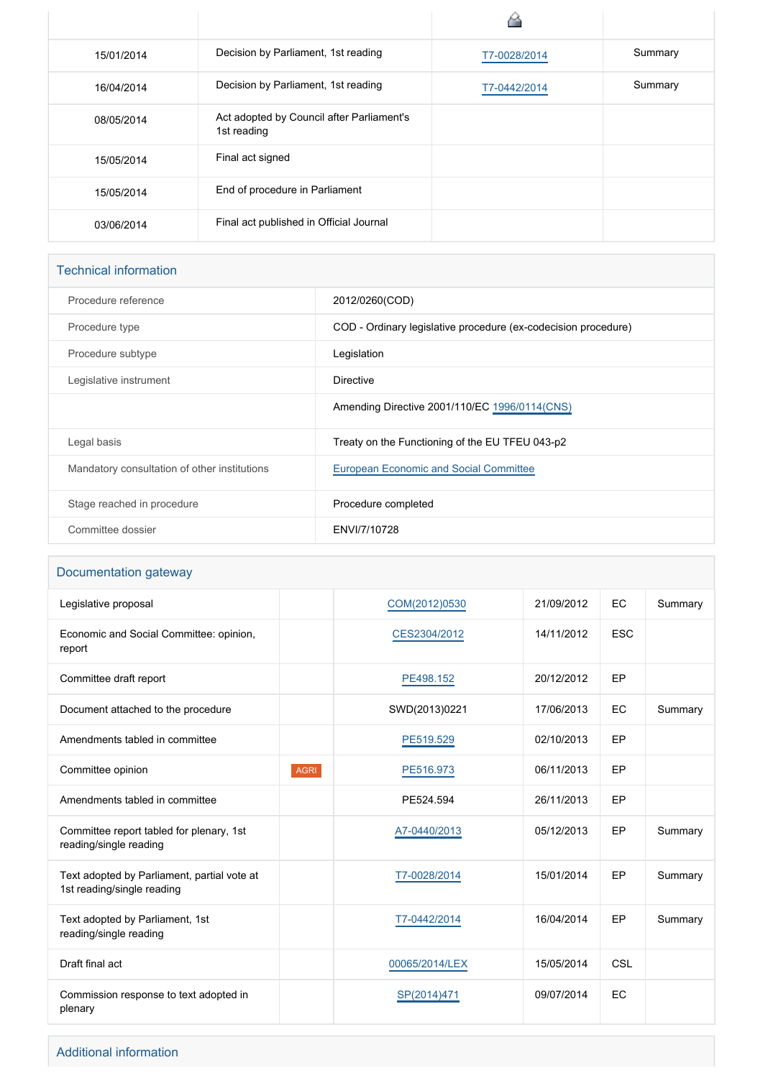| 15/01/2014 | Decision by Parliament, 1st reading                      | T7-0028/2014 | Summary |
|------------|----------------------------------------------------------|--------------|---------|
| 16/04/2014 | Decision by Parliament, 1st reading                      | T7-0442/2014 | Summary |
| 08/05/2014 | Act adopted by Council after Parliament's<br>1st reading |              |         |
| 15/05/2014 | Final act signed                                         |              |         |
| 15/05/2014 | End of procedure in Parliament                           |              |         |
| 03/06/2014 | Final act published in Official Journal                  |              |         |

#### Technical information

| Procedure reference                          | 2012/0260(COD)                                                 |
|----------------------------------------------|----------------------------------------------------------------|
| Procedure type                               | COD - Ordinary legislative procedure (ex-codecision procedure) |
| Procedure subtype                            | Legislation                                                    |
| Legislative instrument                       | Directive                                                      |
|                                              | Amending Directive 2001/110/EC 1996/0114(CNS)                  |
| Legal basis                                  | Treaty on the Functioning of the EU TFEU 043-p2                |
| Mandatory consultation of other institutions | <b>European Economic and Social Committee</b>                  |
| Stage reached in procedure                   | Procedure completed                                            |
| Committee dossier                            | ENVI/7/10728                                                   |
|                                              |                                                                |

#### Documentation gateway

| Legislative proposal                                                      |             | COM(2012)0530  | 21/09/2012 | <b>EC</b>  | Summary |
|---------------------------------------------------------------------------|-------------|----------------|------------|------------|---------|
| Economic and Social Committee: opinion,<br>report                         |             | CES2304/2012   | 14/11/2012 | <b>ESC</b> |         |
| Committee draft report                                                    |             | PE498.152      | 20/12/2012 | EP         |         |
| Document attached to the procedure                                        |             | SWD(2013)0221  | 17/06/2013 | EC         | Summary |
| Amendments tabled in committee                                            |             | PE519.529      | 02/10/2013 | EP         |         |
| Committee opinion                                                         | <b>AGRI</b> | PE516.973      | 06/11/2013 | EP         |         |
| Amendments tabled in committee                                            |             | PE524.594      | 26/11/2013 | EP         |         |
| Committee report tabled for plenary, 1st<br>reading/single reading        |             | A7-0440/2013   | 05/12/2013 | EP         | Summary |
| Text adopted by Parliament, partial vote at<br>1st reading/single reading |             | T7-0028/2014   | 15/01/2014 | EP         | Summary |
| Text adopted by Parliament, 1st<br>reading/single reading                 |             | T7-0442/2014   | 16/04/2014 | EP         | Summary |
| Draft final act                                                           |             | 00065/2014/LEX | 15/05/2014 | CSL        |         |
| Commission response to text adopted in<br>plenary                         |             | SP(2014)471    | 09/07/2014 | EC         |         |
|                                                                           |             |                |            |            |         |

#### Additional information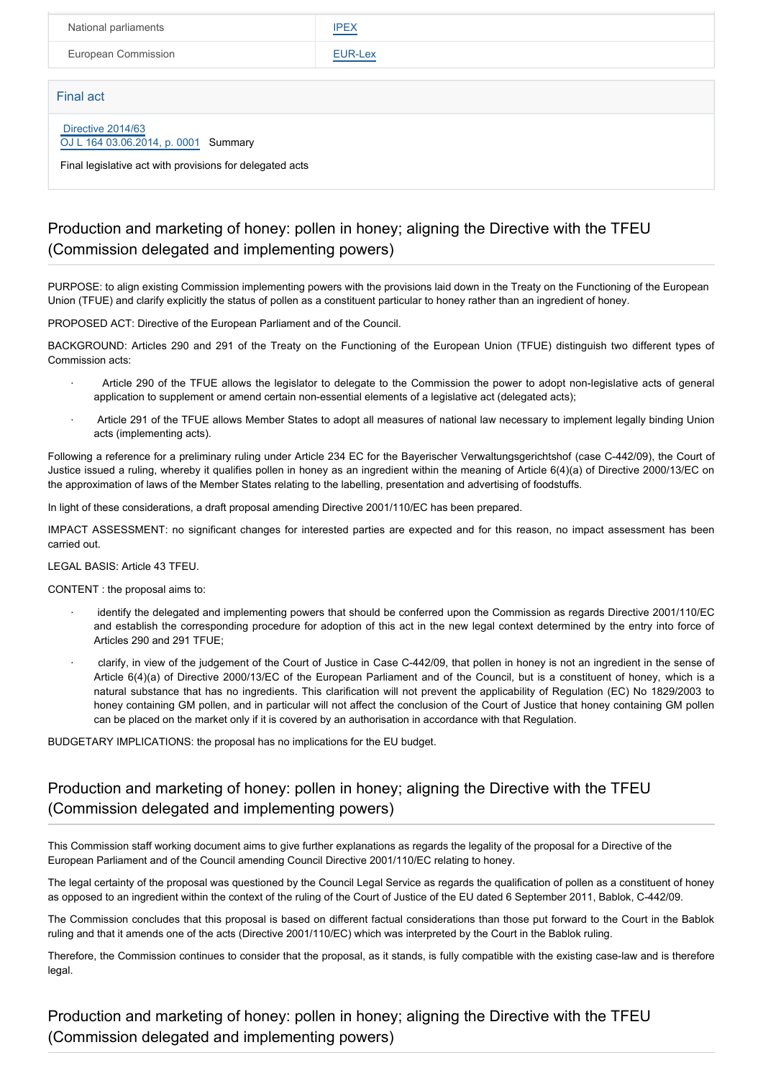| National parliaments                                      | <b>IPEX</b> |  |
|-----------------------------------------------------------|-------------|--|
| European Commission                                       | EUR-Lex     |  |
|                                                           |             |  |
| Final act                                                 |             |  |
| Directive 2014/63<br>OJ L 164 03.06.2014, p. 0001 Summary |             |  |
| Final legislative act with provisions for delegated acts  |             |  |

### Production and marketing of honey: pollen in honey; aligning the Directive with the TFEU (Commission delegated and implementing powers)

PURPOSE: to align existing Commission implementing powers with the provisions laid down in the Treaty on the Functioning of the European Union (TFUE) and clarify explicitly the status of pollen as a constituent particular to honey rather than an ingredient of honey.

PROPOSED ACT: Directive of the European Parliament and of the Council.

BACKGROUND: Articles 290 and 291 of the Treaty on the Functioning of the European Union (TFUE) distinguish two different types of Commission acts:

- · Article 290 of the TFUE allows the legislator to delegate to the Commission the power to adopt non-legislative acts of general application to supplement or amend certain non-essential elements of a legislative act (delegated acts);
- · Article 291 of the TFUE allows Member States to adopt all measures of national law necessary to implement legally binding Union acts (implementing acts).

Following a reference for a preliminary ruling under Article 234 EC for the Bayerischer Verwaltungsgerichtshof (case C-442/09), the Court of Justice issued a ruling, whereby it qualifies pollen in honey as an ingredient within the meaning of Article 6(4)(a) of Directive 2000/13/EC on the approximation of laws of the Member States relating to the labelling, presentation and advertising of foodstuffs.

In light of these considerations, a draft proposal amending Directive 2001/110/EC has been prepared.

IMPACT ASSESSMENT: no significant changes for interested parties are expected and for this reason, no impact assessment has been carried out.

LEGAL BASIS: Article 43 TFEU.

CONTENT : the proposal aims to:

- identify the delegated and implementing powers that should be conferred upon the Commission as regards Directive 2001/110/EC and establish the corresponding procedure for adoption of this act in the new legal context determined by the entry into force of Articles 290 and 291 TFUE;
- clarify, in view of the judgement of the Court of Justice in Case C-442/09, that pollen in honey is not an ingredient in the sense of Article 6(4)(a) of Directive 2000/13/EC of the European Parliament and of the Council, but is a constituent of honey, which is a natural substance that has no ingredients. This clarification will not prevent the applicability of Regulation (EC) No 1829/2003 to honey containing GM pollen, and in particular will not affect the conclusion of the Court of Justice that honey containing GM pollen can be placed on the market only if it is covered by an authorisation in accordance with that Regulation.

BUDGETARY IMPLICATIONS: the proposal has no implications for the EU budget.

#### Production and marketing of honey: pollen in honey; aligning the Directive with the TFEU (Commission delegated and implementing powers)

This Commission staff working document aims to give further explanations as regards the legality of the proposal for a Directive of the European Parliament and of the Council amending Council Directive 2001/110/EC relating to honey.

The legal certainty of the proposal was questioned by the Council Legal Service as regards the qualification of pollen as a constituent of honey as opposed to an ingredient within the context of the ruling of the Court of Justice of the EU dated 6 September 2011, Bablok, C-442/09.

The Commission concludes that this proposal is based on different factual considerations than those put forward to the Court in the Bablok ruling and that it amends one of the acts (Directive 2001/110/EC) which was interpreted by the Court in the Bablok ruling.

Therefore, the Commission continues to consider that the proposal, as it stands, is fully compatible with the existing case-law and is therefore legal.

Production and marketing of honey: pollen in honey; aligning the Directive with the TFEU (Commission delegated and implementing powers)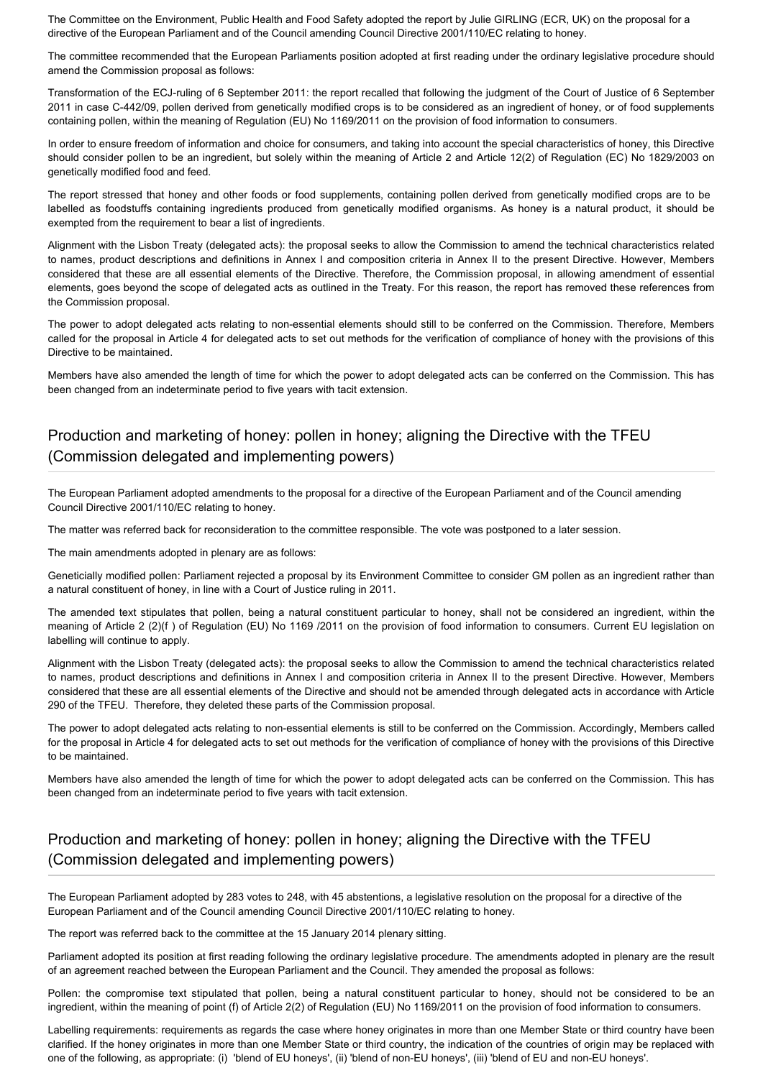The Committee on the Environment, Public Health and Food Safety adopted the report by Julie GIRLING (ECR, UK) on the proposal for a directive of the European Parliament and of the Council amending Council Directive 2001/110/EC relating to honey.

The committee recommended that the European Parliaments position adopted at first reading under the ordinary legislative procedure should amend the Commission proposal as follows:

Transformation of the ECJ-ruling of 6 September 2011: the report recalled that following the judgment of the Court of Justice of 6 September 2011 in case C-442/09, pollen derived from genetically modified crops is to be considered as an ingredient of honey, or of food supplements containing pollen, within the meaning of Regulation (EU) No 1169/2011 on the provision of food information to consumers.

In order to ensure freedom of information and choice for consumers, and taking into account the special characteristics of honey, this Directive should consider pollen to be an ingredient, but solely within the meaning of Article 2 and Article 12(2) of Regulation (EC) No 1829/2003 on genetically modified food and feed.

The report stressed that honey and other foods or food supplements, containing pollen derived from genetically modified crops are to be labelled as foodstuffs containing ingredients produced from genetically modified organisms. As honey is a natural product, it should be exempted from the requirement to bear a list of ingredients.

Alignment with the Lisbon Treaty (delegated acts): the proposal seeks to allow the Commission to amend the technical characteristics related to names, product descriptions and definitions in Annex I and composition criteria in Annex II to the present Directive. However, Members considered that these are all essential elements of the Directive. Therefore, the Commission proposal, in allowing amendment of essential elements, goes beyond the scope of delegated acts as outlined in the Treaty. For this reason, the report has removed these references from the Commission proposal.

The power to adopt delegated acts relating to non-essential elements should still to be conferred on the Commission. Therefore, Members called for the proposal in Article 4 for delegated acts to set out methods for the verification of compliance of honey with the provisions of this Directive to be maintained.

Members have also amended the length of time for which the power to adopt delegated acts can be conferred on the Commission. This has been changed from an indeterminate period to five years with tacit extension.

### Production and marketing of honey: pollen in honey; aligning the Directive with the TFEU (Commission delegated and implementing powers)

The European Parliament adopted amendments to the proposal for a directive of the European Parliament and of the Council amending Council Directive 2001/110/EC relating to honey.

The matter was referred back for reconsideration to the committee responsible. The vote was postponed to a later session.

The main amendments adopted in plenary are as follows:

Geneticially modified pollen: Parliament rejected a proposal by its Environment Committee to consider GM pollen as an ingredient rather than a natural constituent of honey, in line with a Court of Justice ruling in 2011.

The amended text stipulates that pollen, being a natural constituent particular to honey, shall not be considered an ingredient, within the meaning of Article 2 (2)(f ) of Regulation (EU) No 1169 /2011 on the provision of food information to consumers. Current EU legislation on labelling will continue to apply.

Alignment with the Lisbon Treaty (delegated acts): the proposal seeks to allow the Commission to amend the technical characteristics related to names, product descriptions and definitions in Annex I and composition criteria in Annex II to the present Directive. However, Members considered that these are all essential elements of the Directive and should not be amended through delegated acts in accordance with Article 290 of the TFEU. Therefore, they deleted these parts of the Commission proposal.

The power to adopt delegated acts relating to non-essential elements is still to be conferred on the Commission. Accordingly, Members called for the proposal in Article 4 for delegated acts to set out methods for the verification of compliance of honey with the provisions of this Directive to be maintained.

Members have also amended the length of time for which the power to adopt delegated acts can be conferred on the Commission. This has been changed from an indeterminate period to five years with tacit extension.

### Production and marketing of honey: pollen in honey; aligning the Directive with the TFEU (Commission delegated and implementing powers)

The European Parliament adopted by 283 votes to 248, with 45 abstentions, a legislative resolution on the proposal for a directive of the European Parliament and of the Council amending Council Directive 2001/110/EC relating to honey.

The report was referred back to the committee at the 15 January 2014 plenary sitting.

Parliament adopted its position at first reading following the ordinary legislative procedure. The amendments adopted in plenary are the result of an agreement reached between the European Parliament and the Council. They amended the proposal as follows:

Pollen: the compromise text stipulated that pollen, being a natural constituent particular to honey, should not be considered to be an ingredient, within the meaning of point (f) of Article 2(2) of Regulation (EU) No 1169/2011 on the provision of food information to consumers.

Labelling requirements: requirements as regards the case where honey originates in more than one Member State or third country have been clarified. If the honey originates in more than one Member State or third country, the indication of the countries of origin may be replaced with one of the following, as appropriate: (i) 'blend of EU honeys', (ii) 'blend of non-EU honeys', (iii) 'blend of EU and non-EU honeys'.